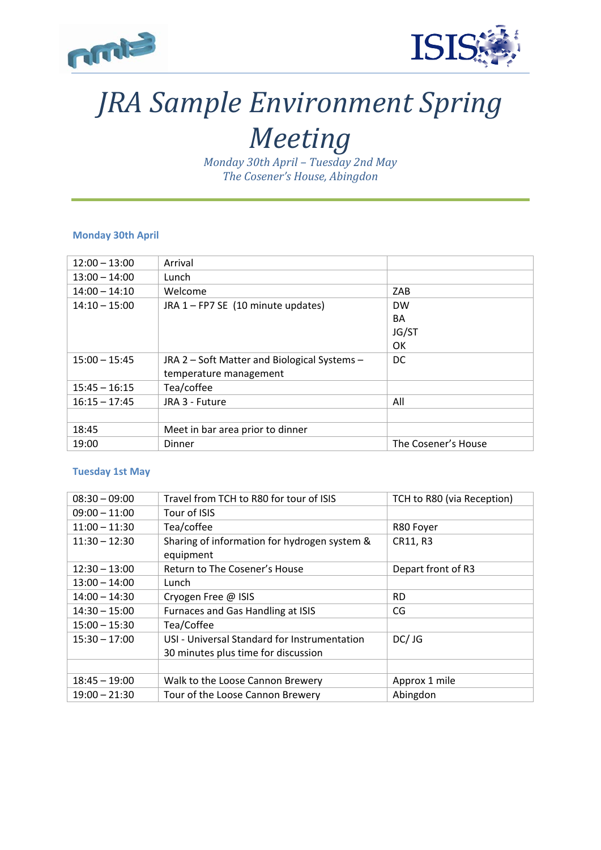



## *JRA Sample Environment Spring*

## *Meeting*

*Monday 30th April – Tuesday 2nd May The Cosener's House, Abingdon*

## **Monday 30th April**

| $12:00 - 13:00$ | Arrival                                      |                     |
|-----------------|----------------------------------------------|---------------------|
| $13:00 - 14:00$ | Lunch                                        |                     |
| $14:00 - 14:10$ | Welcome                                      | ZAB                 |
| $14:10 - 15:00$ | JRA 1 - FP7 SE (10 minute updates)           | <b>DW</b>           |
|                 |                                              | <b>BA</b>           |
|                 |                                              | JG/ST               |
|                 |                                              | OK                  |
| $15:00 - 15:45$ | JRA 2 - Soft Matter and Biological Systems - | <sub>DC</sub>       |
|                 | temperature management                       |                     |
| $15:45 - 16:15$ | Tea/coffee                                   |                     |
| $16:15 - 17:45$ | JRA 3 - Future                               | All                 |
|                 |                                              |                     |
| 18:45           | Meet in bar area prior to dinner             |                     |
| 19:00           | Dinner                                       | The Cosener's House |

## **Tuesday 1st May**

| $08:30 - 09:00$ | Travel from TCH to R80 for tour of ISIS                   | TCH to R80 (via Reception) |
|-----------------|-----------------------------------------------------------|----------------------------|
| $09:00 - 11:00$ | Tour of ISIS                                              |                            |
| $11:00 - 11:30$ | Tea/coffee                                                | R80 Foyer                  |
| $11:30 - 12:30$ | Sharing of information for hydrogen system &<br>equipment | CR11, R3                   |
| $12:30 - 13:00$ | Return to The Cosener's House                             | Depart front of R3         |
| $13:00 - 14:00$ | Lunch                                                     |                            |
| $14:00 - 14:30$ | Cryogen Free @ ISIS                                       | <b>RD</b>                  |
| $14:30 - 15:00$ | Furnaces and Gas Handling at ISIS                         | CG                         |
| $15:00 - 15:30$ | Tea/Coffee                                                |                            |
| $15:30 - 17:00$ | USI - Universal Standard for Instrumentation              | DC/JG                      |
|                 | 30 minutes plus time for discussion                       |                            |
|                 |                                                           |                            |
| $18:45 - 19:00$ | Walk to the Loose Cannon Brewery                          | Approx 1 mile              |
| $19:00 - 21:30$ | Tour of the Loose Cannon Brewery                          | Abingdon                   |